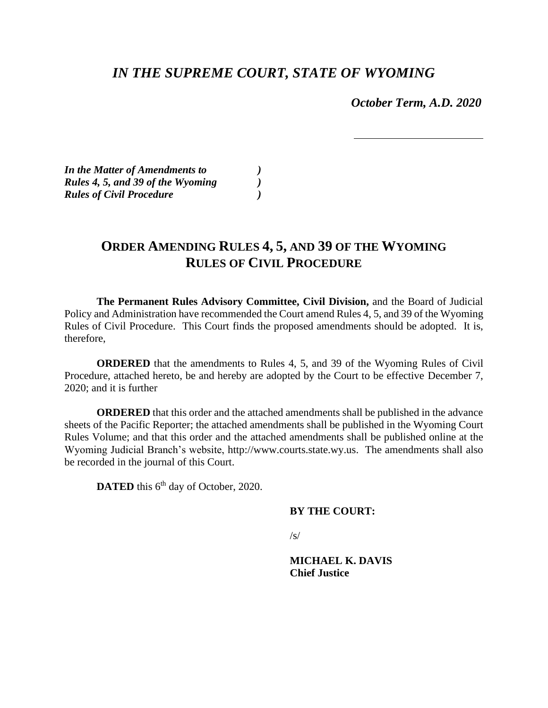## *IN THE SUPREME COURT, STATE OF WYOMING*

 *October Term, A.D. 2020*

*In the Matter of Amendments to ) Rules 4, 5, and 39 of the Wyoming ) Rules of Civil Procedure )*

# **ORDER AMENDING RULES 4, 5, AND 39 OF THE WYOMING RULES OF CIVIL PROCEDURE**

**The Permanent Rules Advisory Committee, Civil Division,** and the Board of Judicial Policy and Administration have recommended the Court amend Rules 4, 5, and 39 of the Wyoming Rules of Civil Procedure. This Court finds the proposed amendments should be adopted. It is, therefore,

**ORDERED** that the amendments to Rules 4, 5, and 39 of the Wyoming Rules of Civil Procedure, attached hereto, be and hereby are adopted by the Court to be effective December 7, 2020; and it is further

**ORDERED** that this order and the attached amendments shall be published in the advance sheets of the Pacific Reporter; the attached amendments shall be published in the Wyoming Court Rules Volume; and that this order and the attached amendments shall be published online at the Wyoming Judicial Branch's website, http://www.courts.state.wy.us. The amendments shall also be recorded in the journal of this Court.

DATED this 6<sup>th</sup> day of October, 2020.

### **BY THE COURT:**

 $\sqrt{s/}$ 

**MICHAEL K. DAVIS Chief Justice**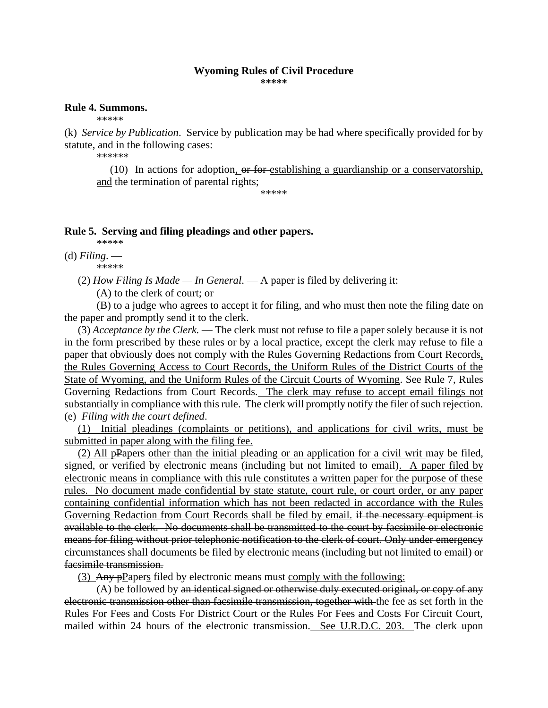### **Wyoming Rules of Civil Procedure**

**\*\*\*\*\***

### **Rule 4. Summons.**

\*\*\*\*\*

(k) *Service by Publication*. Service by publication may be had where specifically provided for by statute, and in the following cases:

\*\*\*\*\*\*

(10) In actions for adoption,  $\theta$  for establishing a guardianship or a conservatorship, and the termination of parental rights;

\*\*\*\*\*

### **Rule 5. Serving and filing pleadings and other papers.**

\*\*\*\*\*

(d) *Filing*. — \*\*\*\*\*

(2) *How Filing Is Made — In General*. — A paper is filed by delivering it:

(A) to the clerk of court; or

(B) to a judge who agrees to accept it for filing, and who must then note the filing date on the paper and promptly send it to the clerk.

 (3) *Acceptance by the Clerk.* — The clerk must not refuse to file a paper solely because it is not in the form prescribed by these rules or by a local practice, except the clerk may refuse to file a paper that obviously does not comply with the Rules Governing Redactions from Court Records, the Rules Governing Access to Court Records, the Uniform Rules of the District Courts of the State of Wyoming, and the Uniform Rules of the Circuit Courts of Wyoming. See Rule 7, Rules Governing Redactions from Court Records. The clerk may refuse to accept email filings not substantially in compliance with this rule. The clerk will promptly notify the filer of such rejection. (e) *Filing with the court defined*. —

 (1) Initial pleadings (complaints or petitions), and applications for civil writs, must be submitted in paper along with the filing fee.

 (2) All pPapers other than the initial pleading or an application for a civil writ may be filed, signed, or verified by electronic means (including but not limited to email). A paper filed by electronic means in compliance with this rule constitutes a written paper for the purpose of these rules. No document made confidential by state statute, court rule, or court order, or any paper containing confidential information which has not been redacted in accordance with the Rules Governing Redaction from Court Records shall be filed by email. if the necessary equipment is available to the clerk. No documents shall be transmitted to the court by facsimile or electronic means for filing without prior telephonic notification to the clerk of court. Only under emergency circumstances shall documents be filed by electronic means (including but not limited to email) or facsimile transmission.

(3) Any pPapers filed by electronic means must comply with the following:

 $(A)$  be followed by an identical signed or otherwise duly executed original, or copy of any electronic transmission other than facsimile transmission, together with the fee as set forth in the Rules For Fees and Costs For District Court or the Rules For Fees and Costs For Circuit Court, mailed within 24 hours of the electronic transmission. See U.R.D.C. 203. The clerk upon